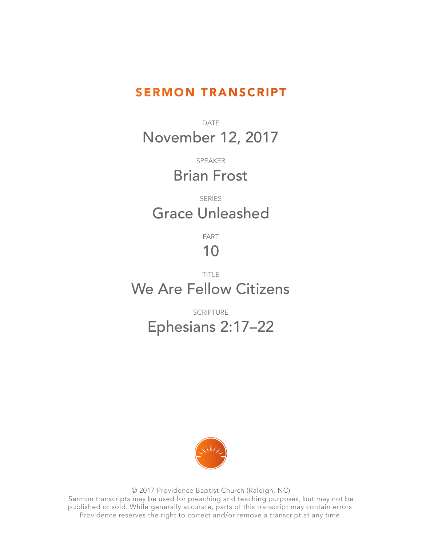## SERMON TRANSCRIPT

DATE November 12, 2017

> SPEAKER Brian Frost

## SERIES Grace Unleashed

PART

## 10

## TITLE We Are Fellow Citizens

SCRIPTURE Ephesians 2:17–22



© 2017 Providence Baptist Church (Raleigh, NC) Sermon transcripts may be used for preaching and teaching purposes, but may not be published or sold. While generally accurate, parts of this transcript may contain errors. Providence reserves the right to correct and/or remove a transcript at any time.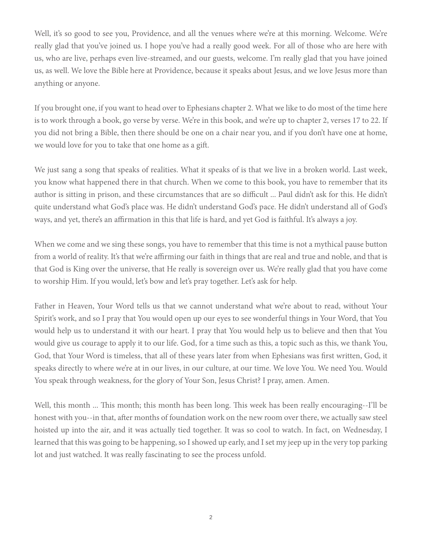Well, it's so good to see you, Providence, and all the venues where we're at this morning. Welcome. We're really glad that you've joined us. I hope you've had a really good week. For all of those who are here with us, who are live, perhaps even live-streamed, and our guests, welcome. I'm really glad that you have joined us, as well. We love the Bible here at Providence, because it speaks about Jesus, and we love Jesus more than anything or anyone.

If you brought one, if you want to head over to Ephesians chapter 2. What we like to do most of the time here is to work through a book, go verse by verse. We're in this book, and we're up to chapter 2, verses 17 to 22. If you did not bring a Bible, then there should be one on a chair near you, and if you don't have one at home, we would love for you to take that one home as a gift.

We just sang a song that speaks of realities. What it speaks of is that we live in a broken world. Last week, you know what happened there in that church. When we come to this book, you have to remember that its author is sitting in prison, and these circumstances that are so difficult ... Paul didn't ask for this. He didn't quite understand what God's place was. He didn't understand God's pace. He didn't understand all of God's ways, and yet, there's an affirmation in this that life is hard, and yet God is faithful. It's always a joy.

When we come and we sing these songs, you have to remember that this time is not a mythical pause button from a world of reality. It's that we're affirming our faith in things that are real and true and noble, and that is that God is King over the universe, that He really is sovereign over us. We're really glad that you have come to worship Him. If you would, let's bow and let's pray together. Let's ask for help.

Father in Heaven, Your Word tells us that we cannot understand what we're about to read, without Your Spirit's work, and so I pray that You would open up our eyes to see wonderful things in Your Word, that You would help us to understand it with our heart. I pray that You would help us to believe and then that You would give us courage to apply it to our life. God, for a time such as this, a topic such as this, we thank You, God, that Your Word is timeless, that all of these years later from when Ephesians was first written, God, it speaks directly to where we're at in our lives, in our culture, at our time. We love You. We need You. Would You speak through weakness, for the glory of Your Son, Jesus Christ? I pray, amen. Amen.

Well, this month ... This month; this month has been long. This week has been really encouraging--I'll be honest with you--in that, after months of foundation work on the new room over there, we actually saw steel hoisted up into the air, and it was actually tied together. It was so cool to watch. In fact, on Wednesday, I learned that this was going to be happening, so I showed up early, and I set my jeep up in the very top parking lot and just watched. It was really fascinating to see the process unfold.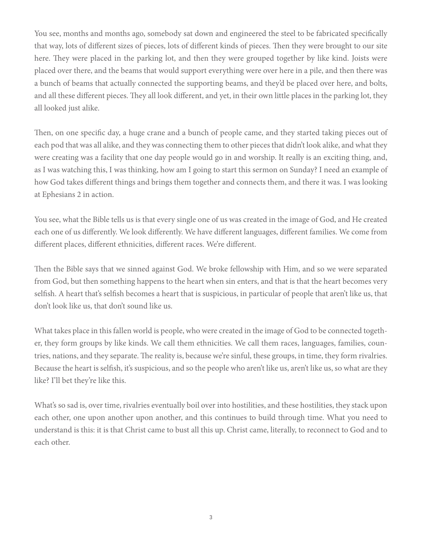You see, months and months ago, somebody sat down and engineered the steel to be fabricated specifically that way, lots of different sizes of pieces, lots of different kinds of pieces. Then they were brought to our site here. They were placed in the parking lot, and then they were grouped together by like kind. Joists were placed over there, and the beams that would support everything were over here in a pile, and then there was a bunch of beams that actually connected the supporting beams, and they'd be placed over here, and bolts, and all these different pieces. They all look different, and yet, in their own little places in the parking lot, they all looked just alike.

Then, on one specific day, a huge crane and a bunch of people came, and they started taking pieces out of each pod that was all alike, and they was connecting them to other pieces that didn't look alike, and what they were creating was a facility that one day people would go in and worship. It really is an exciting thing, and, as I was watching this, I was thinking, how am I going to start this sermon on Sunday? I need an example of how God takes different things and brings them together and connects them, and there it was. I was looking at Ephesians 2 in action.

You see, what the Bible tells us is that every single one of us was created in the image of God, and He created each one of us differently. We look differently. We have different languages, different families. We come from different places, different ethnicities, different races. We're different.

Then the Bible says that we sinned against God. We broke fellowship with Him, and so we were separated from God, but then something happens to the heart when sin enters, and that is that the heart becomes very selfish. A heart that's selfish becomes a heart that is suspicious, in particular of people that aren't like us, that don't look like us, that don't sound like us.

What takes place in this fallen world is people, who were created in the image of God to be connected together, they form groups by like kinds. We call them ethnicities. We call them races, languages, families, countries, nations, and they separate. The reality is, because we're sinful, these groups, in time, they form rivalries. Because the heart is selfish, it's suspicious, and so the people who aren't like us, aren't like us, so what are they like? I'll bet they're like this.

What's so sad is, over time, rivalries eventually boil over into hostilities, and these hostilities, they stack upon each other, one upon another upon another, and this continues to build through time. What you need to understand is this: it is that Christ came to bust all this up. Christ came, literally, to reconnect to God and to each other.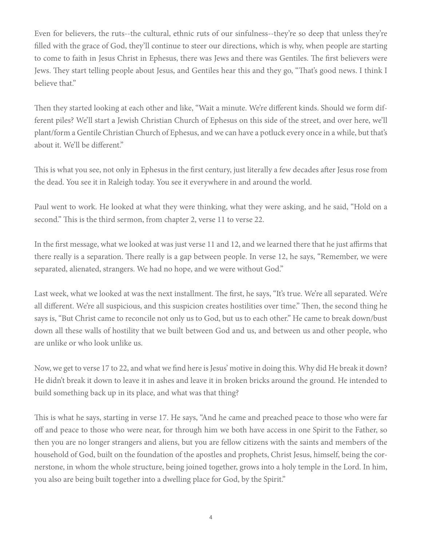Even for believers, the ruts--the cultural, ethnic ruts of our sinfulness--they're so deep that unless they're filled with the grace of God, they'll continue to steer our directions, which is why, when people are starting to come to faith in Jesus Christ in Ephesus, there was Jews and there was Gentiles. The first believers were Jews. They start telling people about Jesus, and Gentiles hear this and they go, "That's good news. I think I believe that."

Then they started looking at each other and like, "Wait a minute. We're different kinds. Should we form different piles? We'll start a Jewish Christian Church of Ephesus on this side of the street, and over here, we'll plant/form a Gentile Christian Church of Ephesus, and we can have a potluck every once in a while, but that's about it. We'll be different."

This is what you see, not only in Ephesus in the first century, just literally a few decades after Jesus rose from the dead. You see it in Raleigh today. You see it everywhere in and around the world.

Paul went to work. He looked at what they were thinking, what they were asking, and he said, "Hold on a second." This is the third sermon, from chapter 2, verse 11 to verse 22.

In the first message, what we looked at was just verse 11 and 12, and we learned there that he just affirms that there really is a separation. There really is a gap between people. In verse 12, he says, "Remember, we were separated, alienated, strangers. We had no hope, and we were without God."

Last week, what we looked at was the next installment. The first, he says, "It's true. We're all separated. We're all different. We're all suspicious, and this suspicion creates hostilities over time." Then, the second thing he says is, "But Christ came to reconcile not only us to God, but us to each other." He came to break down/bust down all these walls of hostility that we built between God and us, and between us and other people, who are unlike or who look unlike us.

Now, we get to verse 17 to 22, and what we find here is Jesus' motive in doing this. Why did He break it down? He didn't break it down to leave it in ashes and leave it in broken bricks around the ground. He intended to build something back up in its place, and what was that thing?

This is what he says, starting in verse 17. He says, "And he came and preached peace to those who were far off and peace to those who were near, for through him we both have access in one Spirit to the Father, so then you are no longer strangers and aliens, but you are fellow citizens with the saints and members of the household of God, built on the foundation of the apostles and prophets, Christ Jesus, himself, being the cornerstone, in whom the whole structure, being joined together, grows into a holy temple in the Lord. In him, you also are being built together into a dwelling place for God, by the Spirit."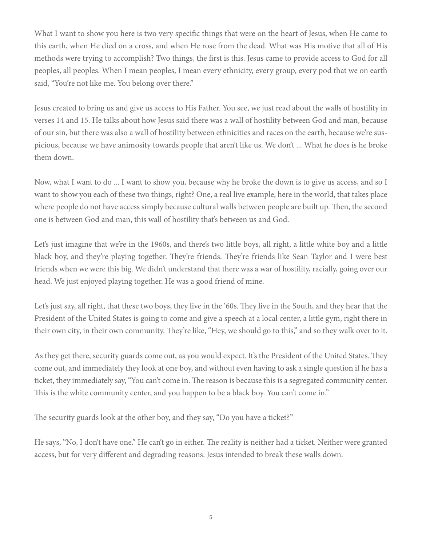What I want to show you here is two very specific things that were on the heart of Jesus, when He came to this earth, when He died on a cross, and when He rose from the dead. What was His motive that all of His methods were trying to accomplish? Two things, the first is this. Jesus came to provide access to God for all peoples, all peoples. When I mean peoples, I mean every ethnicity, every group, every pod that we on earth said, "You're not like me. You belong over there."

Jesus created to bring us and give us access to His Father. You see, we just read about the walls of hostility in verses 14 and 15. He talks about how Jesus said there was a wall of hostility between God and man, because of our sin, but there was also a wall of hostility between ethnicities and races on the earth, because we're suspicious, because we have animosity towards people that aren't like us. We don't ... What he does is he broke them down.

Now, what I want to do ... I want to show you, because why he broke the down is to give us access, and so I want to show you each of these two things, right? One, a real live example, here in the world, that takes place where people do not have access simply because cultural walls between people are built up. Then, the second one is between God and man, this wall of hostility that's between us and God.

Let's just imagine that we're in the 1960s, and there's two little boys, all right, a little white boy and a little black boy, and they're playing together. They're friends. They're friends like Sean Taylor and I were best friends when we were this big. We didn't understand that there was a war of hostility, racially, going over our head. We just enjoyed playing together. He was a good friend of mine.

Let's just say, all right, that these two boys, they live in the '60s. They live in the South, and they hear that the President of the United States is going to come and give a speech at a local center, a little gym, right there in their own city, in their own community. They're like, "Hey, we should go to this," and so they walk over to it.

As they get there, security guards come out, as you would expect. It's the President of the United States. They come out, and immediately they look at one boy, and without even having to ask a single question if he has a ticket, they immediately say, "You can't come in. The reason is because this is a segregated community center. This is the white community center, and you happen to be a black boy. You can't come in."

The security guards look at the other boy, and they say, "Do you have a ticket?"

He says, "No, I don't have one." He can't go in either. The reality is neither had a ticket. Neither were granted access, but for very different and degrading reasons. Jesus intended to break these walls down.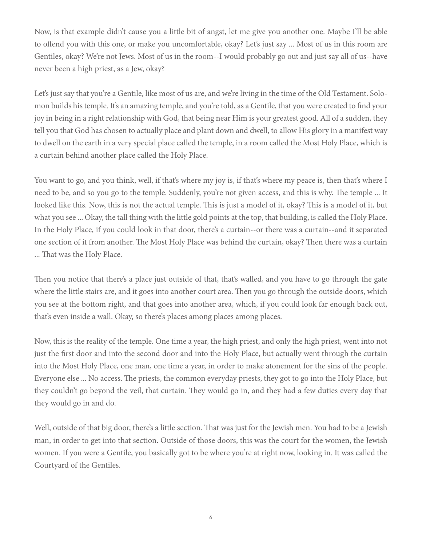Now, is that example didn't cause you a little bit of angst, let me give you another one. Maybe I'll be able to offend you with this one, or make you uncomfortable, okay? Let's just say ... Most of us in this room are Gentiles, okay? We're not Jews. Most of us in the room--I would probably go out and just say all of us--have never been a high priest, as a Jew, okay?

Let's just say that you're a Gentile, like most of us are, and we're living in the time of the Old Testament. Solomon builds his temple. It's an amazing temple, and you're told, as a Gentile, that you were created to find your joy in being in a right relationship with God, that being near Him is your greatest good. All of a sudden, they tell you that God has chosen to actually place and plant down and dwell, to allow His glory in a manifest way to dwell on the earth in a very special place called the temple, in a room called the Most Holy Place, which is a curtain behind another place called the Holy Place.

You want to go, and you think, well, if that's where my joy is, if that's where my peace is, then that's where I need to be, and so you go to the temple. Suddenly, you're not given access, and this is why. The temple ... It looked like this. Now, this is not the actual temple. This is just a model of it, okay? This is a model of it, but what you see ... Okay, the tall thing with the little gold points at the top, that building, is called the Holy Place. In the Holy Place, if you could look in that door, there's a curtain--or there was a curtain--and it separated one section of it from another. The Most Holy Place was behind the curtain, okay? Then there was a curtain ... That was the Holy Place.

Then you notice that there's a place just outside of that, that's walled, and you have to go through the gate where the little stairs are, and it goes into another court area. Then you go through the outside doors, which you see at the bottom right, and that goes into another area, which, if you could look far enough back out, that's even inside a wall. Okay, so there's places among places among places.

Now, this is the reality of the temple. One time a year, the high priest, and only the high priest, went into not just the first door and into the second door and into the Holy Place, but actually went through the curtain into the Most Holy Place, one man, one time a year, in order to make atonement for the sins of the people. Everyone else ... No access. The priests, the common everyday priests, they got to go into the Holy Place, but they couldn't go beyond the veil, that curtain. They would go in, and they had a few duties every day that they would go in and do.

Well, outside of that big door, there's a little section. That was just for the Jewish men. You had to be a Jewish man, in order to get into that section. Outside of those doors, this was the court for the women, the Jewish women. If you were a Gentile, you basically got to be where you're at right now, looking in. It was called the Courtyard of the Gentiles.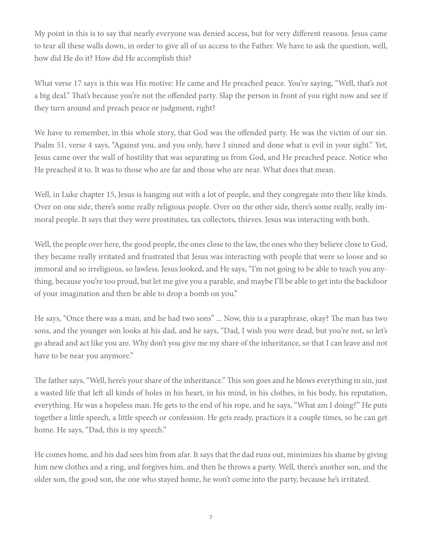My point in this is to say that nearly everyone was denied access, but for very different reasons. Jesus came to tear all these walls down, in order to give all of us access to the Father. We have to ask the question, well, how did He do it? How did He accomplish this?

What verse 17 says is this was His motive: He came and He preached peace. You're saying, "Well, that's not a big deal." That's because you're not the offended party. Slap the person in front of you right now and see if they turn around and preach peace or judgment, right?

We have to remember, in this whole story, that God was the offended party. He was the victim of our sin. Psalm 51, verse 4 says, "Against you, and you only, have I sinned and done what is evil in your sight." Yet, Jesus came over the wall of hostility that was separating us from God, and He preached peace. Notice who He preached it to. It was to those who are far and those who are near. What does that mean.

Well, in Luke chapter 15, Jesus is hanging out with a lot of people, and they congregate into their like kinds. Over on one side, there's some really religious people. Over on the other side, there's some really, really immoral people. It says that they were prostitutes, tax collectors, thieves. Jesus was interacting with both.

Well, the people over here, the good people, the ones close to the law, the ones who they believe close to God, they became really irritated and frustrated that Jesus was interacting with people that were so loose and so immoral and so irreligious, so lawless. Jesus looked, and He says, "I'm not going to be able to teach you anything, because you're too proud, but let me give you a parable, and maybe I'll be able to get into the backdoor of your imagination and then be able to drop a bomb on you."

He says, "Once there was a man, and he had two sons" ... Now, this is a paraphrase, okay? The man has two sons, and the younger son looks at his dad, and he says, "Dad, I wish you were dead, but you're not, so let's go ahead and act like you are. Why don't you give me my share of the inheritance, so that I can leave and not have to be near you anymore."

The father says, "Well, here's your share of the inheritance." This son goes and he blows everything in sin, just a wasted life that left all kinds of holes in his heart, in his mind, in his clothes, in his body, his reputation, everything. He was a hopeless man. He gets to the end of his rope, and he says, "What am I doing?" He puts together a little speech, a little speech or confession. He gets ready, practices it a couple times, so he can get home. He says, "Dad, this is my speech."

He comes home, and his dad sees him from afar. It says that the dad runs out, minimizes his shame by giving him new clothes and a ring, and forgives him, and then he throws a party. Well, there's another son, and the older son, the good son, the one who stayed home, he won't come into the party, because he's irritated.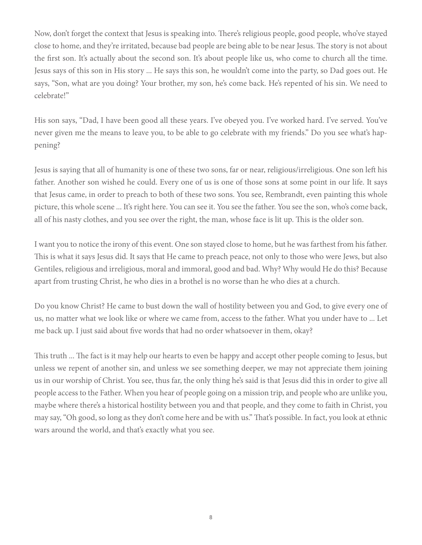Now, don't forget the context that Jesus is speaking into. There's religious people, good people, who've stayed close to home, and they're irritated, because bad people are being able to be near Jesus. The story is not about the first son. It's actually about the second son. It's about people like us, who come to church all the time. Jesus says of this son in His story ... He says this son, he wouldn't come into the party, so Dad goes out. He says, "Son, what are you doing? Your brother, my son, he's come back. He's repented of his sin. We need to celebrate!"

His son says, "Dad, I have been good all these years. I've obeyed you. I've worked hard. I've served. You've never given me the means to leave you, to be able to go celebrate with my friends." Do you see what's happening?

Jesus is saying that all of humanity is one of these two sons, far or near, religious/irreligious. One son left his father. Another son wished he could. Every one of us is one of those sons at some point in our life. It says that Jesus came, in order to preach to both of these two sons. You see, Rembrandt, even painting this whole picture, this whole scene ... It's right here. You can see it. You see the father. You see the son, who's come back, all of his nasty clothes, and you see over the right, the man, whose face is lit up. This is the older son.

I want you to notice the irony of this event. One son stayed close to home, but he was farthest from his father. This is what it says Jesus did. It says that He came to preach peace, not only to those who were Jews, but also Gentiles, religious and irreligious, moral and immoral, good and bad. Why? Why would He do this? Because apart from trusting Christ, he who dies in a brothel is no worse than he who dies at a church.

Do you know Christ? He came to bust down the wall of hostility between you and God, to give every one of us, no matter what we look like or where we came from, access to the father. What you under have to ... Let me back up. I just said about five words that had no order whatsoever in them, okay?

This truth ... The fact is it may help our hearts to even be happy and accept other people coming to Jesus, but unless we repent of another sin, and unless we see something deeper, we may not appreciate them joining us in our worship of Christ. You see, thus far, the only thing he's said is that Jesus did this in order to give all people access to the Father. When you hear of people going on a mission trip, and people who are unlike you, maybe where there's a historical hostility between you and that people, and they come to faith in Christ, you may say, "Oh good, so long as they don't come here and be with us." That's possible. In fact, you look at ethnic wars around the world, and that's exactly what you see.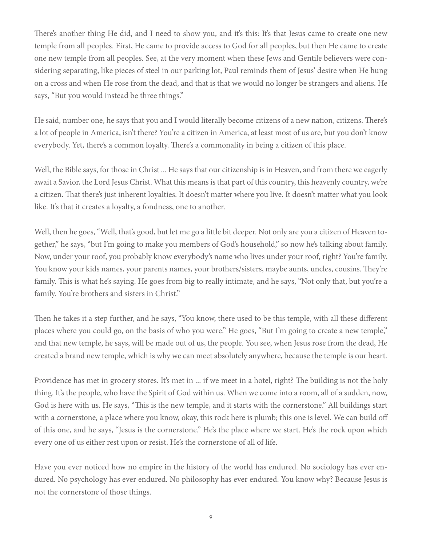There's another thing He did, and I need to show you, and it's this: It's that Jesus came to create one new temple from all peoples. First, He came to provide access to God for all peoples, but then He came to create one new temple from all peoples. See, at the very moment when these Jews and Gentile believers were considering separating, like pieces of steel in our parking lot, Paul reminds them of Jesus' desire when He hung on a cross and when He rose from the dead, and that is that we would no longer be strangers and aliens. He says, "But you would instead be three things."

He said, number one, he says that you and I would literally become citizens of a new nation, citizens. There's a lot of people in America, isn't there? You're a citizen in America, at least most of us are, but you don't know everybody. Yet, there's a common loyalty. There's a commonality in being a citizen of this place.

Well, the Bible says, for those in Christ ... He says that our citizenship is in Heaven, and from there we eagerly await a Savior, the Lord Jesus Christ. What this means is that part of this country, this heavenly country, we're a citizen. That there's just inherent loyalties. It doesn't matter where you live. It doesn't matter what you look like. It's that it creates a loyalty, a fondness, one to another.

Well, then he goes, "Well, that's good, but let me go a little bit deeper. Not only are you a citizen of Heaven together," he says, "but I'm going to make you members of God's household," so now he's talking about family. Now, under your roof, you probably know everybody's name who lives under your roof, right? You're family. You know your kids names, your parents names, your brothers/sisters, maybe aunts, uncles, cousins. They're family. This is what he's saying. He goes from big to really intimate, and he says, "Not only that, but you're a family. You're brothers and sisters in Christ."

Then he takes it a step further, and he says, "You know, there used to be this temple, with all these different places where you could go, on the basis of who you were." He goes, "But I'm going to create a new temple," and that new temple, he says, will be made out of us, the people. You see, when Jesus rose from the dead, He created a brand new temple, which is why we can meet absolutely anywhere, because the temple is our heart.

Providence has met in grocery stores. It's met in ... if we meet in a hotel, right? The building is not the holy thing. It's the people, who have the Spirit of God within us. When we come into a room, all of a sudden, now, God is here with us. He says, "This is the new temple, and it starts with the cornerstone." All buildings start with a cornerstone, a place where you know, okay, this rock here is plumb; this one is level. We can build off of this one, and he says, "Jesus is the cornerstone." He's the place where we start. He's the rock upon which every one of us either rest upon or resist. He's the cornerstone of all of life.

Have you ever noticed how no empire in the history of the world has endured. No sociology has ever endured. No psychology has ever endured. No philosophy has ever endured. You know why? Because Jesus is not the cornerstone of those things.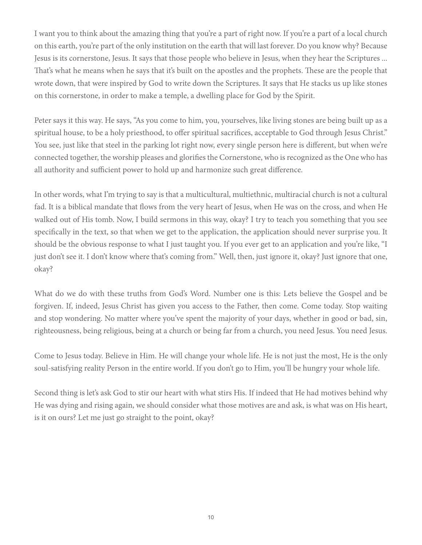I want you to think about the amazing thing that you're a part of right now. If you're a part of a local church on this earth, you're part of the only institution on the earth that will last forever. Do you know why? Because Jesus is its cornerstone, Jesus. It says that those people who believe in Jesus, when they hear the Scriptures ... That's what he means when he says that it's built on the apostles and the prophets. These are the people that wrote down, that were inspired by God to write down the Scriptures. It says that He stacks us up like stones on this cornerstone, in order to make a temple, a dwelling place for God by the Spirit.

Peter says it this way. He says, "As you come to him, you, yourselves, like living stones are being built up as a spiritual house, to be a holy priesthood, to offer spiritual sacrifices, acceptable to God through Jesus Christ." You see, just like that steel in the parking lot right now, every single person here is different, but when we're connected together, the worship pleases and glorifies the Cornerstone, who is recognized as the One who has all authority and sufficient power to hold up and harmonize such great difference.

In other words, what I'm trying to say is that a multicultural, multiethnic, multiracial church is not a cultural fad. It is a biblical mandate that flows from the very heart of Jesus, when He was on the cross, and when He walked out of His tomb. Now, I build sermons in this way, okay? I try to teach you something that you see specifically in the text, so that when we get to the application, the application should never surprise you. It should be the obvious response to what I just taught you. If you ever get to an application and you're like, "I just don't see it. I don't know where that's coming from." Well, then, just ignore it, okay? Just ignore that one, okay?

What do we do with these truths from God's Word. Number one is this: Lets believe the Gospel and be forgiven. If, indeed, Jesus Christ has given you access to the Father, then come. Come today. Stop waiting and stop wondering. No matter where you've spent the majority of your days, whether in good or bad, sin, righteousness, being religious, being at a church or being far from a church, you need Jesus. You need Jesus.

Come to Jesus today. Believe in Him. He will change your whole life. He is not just the most, He is the only soul-satisfying reality Person in the entire world. If you don't go to Him, you'll be hungry your whole life.

Second thing is let's ask God to stir our heart with what stirs His. If indeed that He had motives behind why He was dying and rising again, we should consider what those motives are and ask, is what was on His heart, is it on ours? Let me just go straight to the point, okay?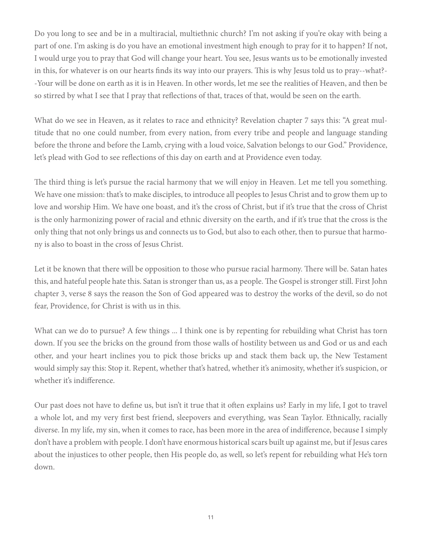Do you long to see and be in a multiracial, multiethnic church? I'm not asking if you're okay with being a part of one. I'm asking is do you have an emotional investment high enough to pray for it to happen? If not, I would urge you to pray that God will change your heart. You see, Jesus wants us to be emotionally invested in this, for whatever is on our hearts finds its way into our prayers. This is why Jesus told us to pray--what?- -Your will be done on earth as it is in Heaven. In other words, let me see the realities of Heaven, and then be so stirred by what I see that I pray that reflections of that, traces of that, would be seen on the earth.

What do we see in Heaven, as it relates to race and ethnicity? Revelation chapter 7 says this: "A great multitude that no one could number, from every nation, from every tribe and people and language standing before the throne and before the Lamb, crying with a loud voice, Salvation belongs to our God." Providence, let's plead with God to see reflections of this day on earth and at Providence even today.

The third thing is let's pursue the racial harmony that we will enjoy in Heaven. Let me tell you something. We have one mission: that's to make disciples, to introduce all peoples to Jesus Christ and to grow them up to love and worship Him. We have one boast, and it's the cross of Christ, but if it's true that the cross of Christ is the only harmonizing power of racial and ethnic diversity on the earth, and if it's true that the cross is the only thing that not only brings us and connects us to God, but also to each other, then to pursue that harmony is also to boast in the cross of Jesus Christ.

Let it be known that there will be opposition to those who pursue racial harmony. There will be. Satan hates this, and hateful people hate this. Satan is stronger than us, as a people. The Gospel is stronger still. First John chapter 3, verse 8 says the reason the Son of God appeared was to destroy the works of the devil, so do not fear, Providence, for Christ is with us in this.

What can we do to pursue? A few things ... I think one is by repenting for rebuilding what Christ has torn down. If you see the bricks on the ground from those walls of hostility between us and God or us and each other, and your heart inclines you to pick those bricks up and stack them back up, the New Testament would simply say this: Stop it. Repent, whether that's hatred, whether it's animosity, whether it's suspicion, or whether it's indifference.

Our past does not have to define us, but isn't it true that it often explains us? Early in my life, I got to travel a whole lot, and my very first best friend, sleepovers and everything, was Sean Taylor. Ethnically, racially diverse. In my life, my sin, when it comes to race, has been more in the area of indifference, because I simply don't have a problem with people. I don't have enormous historical scars built up against me, but if Jesus cares about the injustices to other people, then His people do, as well, so let's repent for rebuilding what He's torn down.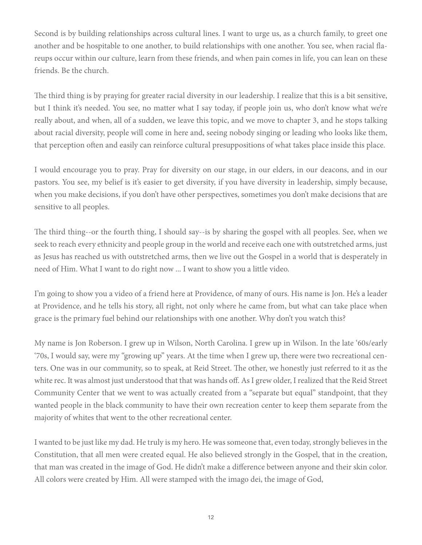Second is by building relationships across cultural lines. I want to urge us, as a church family, to greet one another and be hospitable to one another, to build relationships with one another. You see, when racial flareups occur within our culture, learn from these friends, and when pain comes in life, you can lean on these friends. Be the church.

The third thing is by praying for greater racial diversity in our leadership. I realize that this is a bit sensitive, but I think it's needed. You see, no matter what I say today, if people join us, who don't know what we're really about, and when, all of a sudden, we leave this topic, and we move to chapter 3, and he stops talking about racial diversity, people will come in here and, seeing nobody singing or leading who looks like them, that perception often and easily can reinforce cultural presuppositions of what takes place inside this place.

I would encourage you to pray. Pray for diversity on our stage, in our elders, in our deacons, and in our pastors. You see, my belief is it's easier to get diversity, if you have diversity in leadership, simply because, when you make decisions, if you don't have other perspectives, sometimes you don't make decisions that are sensitive to all peoples.

The third thing--or the fourth thing, I should say--is by sharing the gospel with all peoples. See, when we seek to reach every ethnicity and people group in the world and receive each one with outstretched arms, just as Jesus has reached us with outstretched arms, then we live out the Gospel in a world that is desperately in need of Him. What I want to do right now ... I want to show you a little video.

I'm going to show you a video of a friend here at Providence, of many of ours. His name is Jon. He's a leader at Providence, and he tells his story, all right, not only where he came from, but what can take place when grace is the primary fuel behind our relationships with one another. Why don't you watch this?

My name is Jon Roberson. I grew up in Wilson, North Carolina. I grew up in Wilson. In the late '60s/early '70s, I would say, were my "growing up" years. At the time when I grew up, there were two recreational centers. One was in our community, so to speak, at Reid Street. The other, we honestly just referred to it as the white rec. It was almost just understood that that was hands off. As I grew older, I realized that the Reid Street Community Center that we went to was actually created from a "separate but equal" standpoint, that they wanted people in the black community to have their own recreation center to keep them separate from the majority of whites that went to the other recreational center.

I wanted to be just like my dad. He truly is my hero. He was someone that, even today, strongly believes in the Constitution, that all men were created equal. He also believed strongly in the Gospel, that in the creation, that man was created in the image of God. He didn't make a difference between anyone and their skin color. All colors were created by Him. All were stamped with the imago dei, the image of God,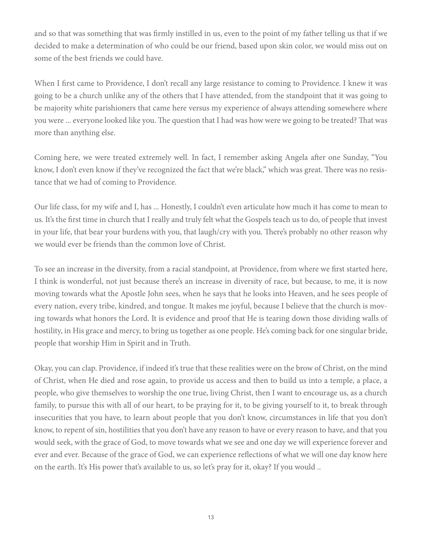and so that was something that was firmly instilled in us, even to the point of my father telling us that if we decided to make a determination of who could be our friend, based upon skin color, we would miss out on some of the best friends we could have.

When I first came to Providence, I don't recall any large resistance to coming to Providence. I knew it was going to be a church unlike any of the others that I have attended, from the standpoint that it was going to be majority white parishioners that came here versus my experience of always attending somewhere where you were ... everyone looked like you. The question that I had was how were we going to be treated? That was more than anything else.

Coming here, we were treated extremely well. In fact, I remember asking Angela after one Sunday, "You know, I don't even know if they've recognized the fact that we're black," which was great. There was no resistance that we had of coming to Providence.

Our life class, for my wife and I, has ... Honestly, I couldn't even articulate how much it has come to mean to us. It's the first time in church that I really and truly felt what the Gospels teach us to do, of people that invest in your life, that bear your burdens with you, that laugh/cry with you. There's probably no other reason why we would ever be friends than the common love of Christ.

To see an increase in the diversity, from a racial standpoint, at Providence, from where we first started here, I think is wonderful, not just because there's an increase in diversity of race, but because, to me, it is now moving towards what the Apostle John sees, when he says that he looks into Heaven, and he sees people of every nation, every tribe, kindred, and tongue. It makes me joyful, because I believe that the church is moving towards what honors the Lord. It is evidence and proof that He is tearing down those dividing walls of hostility, in His grace and mercy, to bring us together as one people. He's coming back for one singular bride, people that worship Him in Spirit and in Truth.

Okay, you can clap. Providence, if indeed it's true that these realities were on the brow of Christ, on the mind of Christ, when He died and rose again, to provide us access and then to build us into a temple, a place, a people, who give themselves to worship the one true, living Christ, then I want to encourage us, as a church family, to pursue this with all of our heart, to be praying for it, to be giving yourself to it, to break through insecurities that you have, to learn about people that you don't know, circumstances in life that you don't know, to repent of sin, hostilities that you don't have any reason to have or every reason to have, and that you would seek, with the grace of God, to move towards what we see and one day we will experience forever and ever and ever. Because of the grace of God, we can experience reflections of what we will one day know here on the earth. It's His power that's available to us, so let's pray for it, okay? If you would ..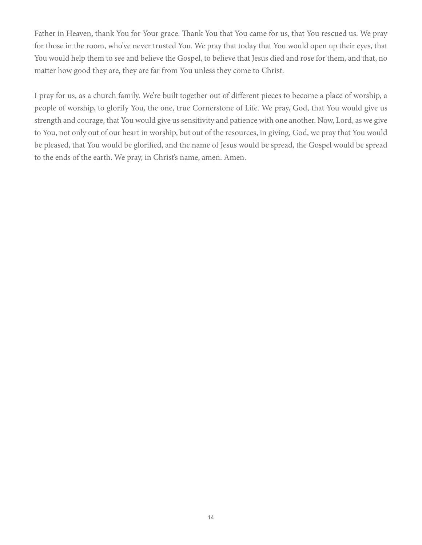Father in Heaven, thank You for Your grace. Thank You that You came for us, that You rescued us. We pray for those in the room, who've never trusted You. We pray that today that You would open up their eyes, that You would help them to see and believe the Gospel, to believe that Jesus died and rose for them, and that, no matter how good they are, they are far from You unless they come to Christ.

I pray for us, as a church family. We're built together out of different pieces to become a place of worship, a people of worship, to glorify You, the one, true Cornerstone of Life. We pray, God, that You would give us strength and courage, that You would give us sensitivity and patience with one another. Now, Lord, as we give to You, not only out of our heart in worship, but out of the resources, in giving, God, we pray that You would be pleased, that You would be glorified, and the name of Jesus would be spread, the Gospel would be spread to the ends of the earth. We pray, in Christ's name, amen. Amen.